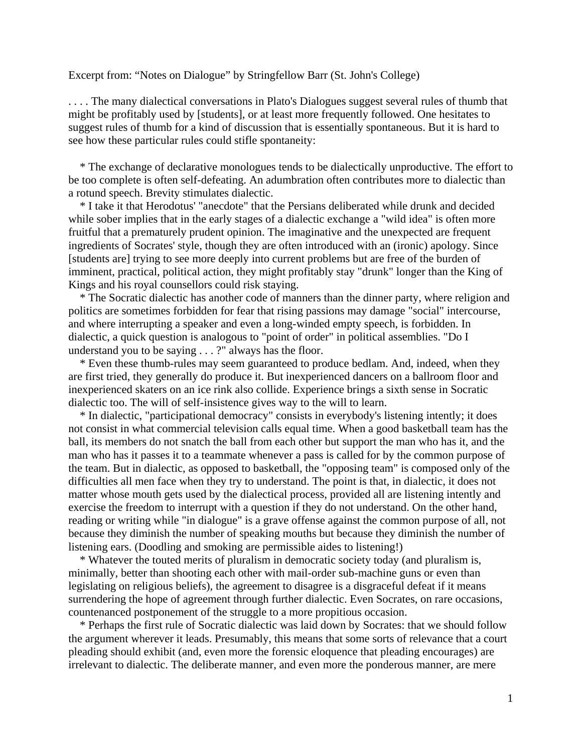Excerpt from: "Notes on Dialogue" by Stringfellow Barr (St. John's College)

. . . . The many dialectical conversations in Plato's Dialogues suggest several rules of thumb that might be profitably used by [students], or at least more frequently followed. One hesitates to suggest rules of thumb for a kind of discussion that is essentially spontaneous. But it is hard to see how these particular rules could stifle spontaneity:

 \* The exchange of declarative monologues tends to be dialectically unproductive. The effort to be too complete is often self-defeating. An adumbration often contributes more to dialectic than a rotund speech. Brevity stimulates dialectic.

 \* I take it that Herodotus' "anecdote" that the Persians deliberated while drunk and decided while sober implies that in the early stages of a dialectic exchange a "wild idea" is often more fruitful that a prematurely prudent opinion. The imaginative and the unexpected are frequent ingredients of Socrates' style, though they are often introduced with an (ironic) apology. Since [students are] trying to see more deeply into current problems but are free of the burden of imminent, practical, political action, they might profitably stay "drunk" longer than the King of Kings and his royal counsellors could risk staying.

 \* The Socratic dialectic has another code of manners than the dinner party, where religion and politics are sometimes forbidden for fear that rising passions may damage "social" intercourse, and where interrupting a speaker and even a long-winded empty speech, is forbidden. In dialectic, a quick question is analogous to "point of order" in political assemblies. "Do I understand you to be saying . . . ?" always has the floor.

 \* Even these thumb-rules may seem guaranteed to produce bedlam. And, indeed, when they are first tried, they generally do produce it. But inexperienced dancers on a ballroom floor and inexperienced skaters on an ice rink also collide. Experience brings a sixth sense in Socratic dialectic too. The will of self-insistence gives way to the will to learn.

 \* In dialectic, "participational democracy" consists in everybody's listening intently; it does not consist in what commercial television calls equal time. When a good basketball team has the ball, its members do not snatch the ball from each other but support the man who has it, and the man who has it passes it to a teammate whenever a pass is called for by the common purpose of the team. But in dialectic, as opposed to basketball, the "opposing team" is composed only of the difficulties all men face when they try to understand. The point is that, in dialectic, it does not matter whose mouth gets used by the dialectical process, provided all are listening intently and exercise the freedom to interrupt with a question if they do not understand. On the other hand, reading or writing while "in dialogue" is a grave offense against the common purpose of all, not because they diminish the number of speaking mouths but because they diminish the number of listening ears. (Doodling and smoking are permissible aides to listening!)

 \* Whatever the touted merits of pluralism in democratic society today (and pluralism is, minimally, better than shooting each other with mail-order sub-machine guns or even than legislating on religious beliefs), the agreement to disagree is a disgraceful defeat if it means surrendering the hope of agreement through further dialectic. Even Socrates, on rare occasions, countenanced postponement of the struggle to a more propitious occasion.

 \* Perhaps the first rule of Socratic dialectic was laid down by Socrates: that we should follow the argument wherever it leads. Presumably, this means that some sorts of relevance that a court pleading should exhibit (and, even more the forensic eloquence that pleading encourages) are irrelevant to dialectic. The deliberate manner, and even more the ponderous manner, are mere